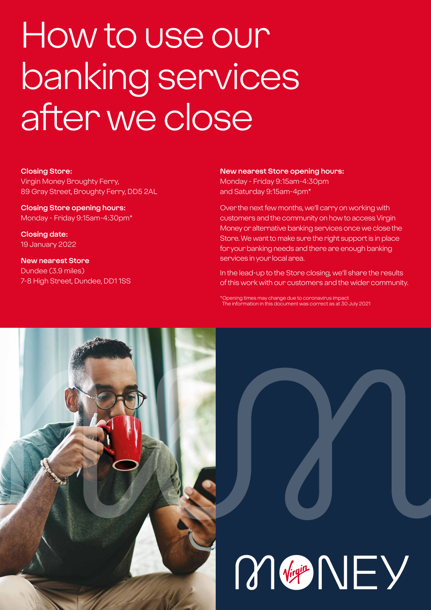# How to use our banking services after we close

### **Closing Store:**

Virgin Money Broughty Ferry, 89 Gray Street, Broughty Ferry, DD5 2AL

**Closing Store opening hours:**  Monday - Friday 9:15am-4:30pm\*

**Closing date:**  19 January 2022

**New nearest Store** Dundee (3.9 miles) 7-8 High Street, Dundee, DD1 1SS

#### **New nearest Store opening hours:**

Monday - Friday 9:15am-4:30pm and Saturday 9:15am-4pm\*

Over the next few months, we'll carry on working with customers and the community on how to access Virgin Money or alternative banking services once we close the Store. We want to make sure the right support is in place for your banking needs and there are enough banking services in your local area.

In the lead-up to the Store closing, we'll share the results of this work with our customers and the wider community.

\*Opening times may change due to coronavirus impact The information in this document was correct as at 30 July 2021

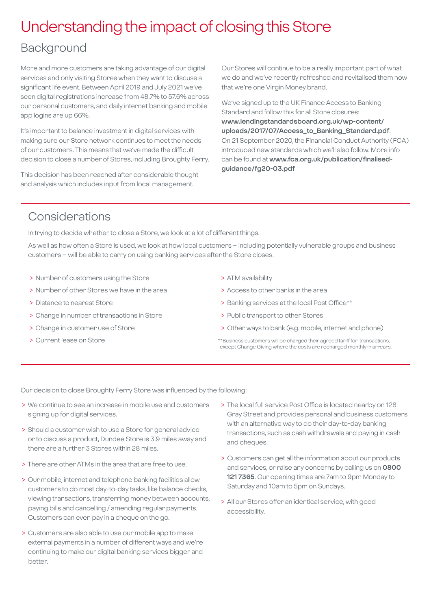### Understanding the impact of closing this Store

### Background

More and more customers are taking advantage of our digital services and only visiting Stores when they want to discuss a significant life event. Between April 2019 and July 2021 we've seen digital registrations increase from 48.7% to 57.6% across our personal customers, and daily internet banking and mobile app logins are up 66%.

It's important to balance investment in digital services with making sure our Store network continues to meet the needs of our customers. This means that we've made the difficult decision to close a number of Stores, including Broughty Ferry.

This decision has been reached after considerable thought and analysis which includes input from local management.

Our Stores will continue to be a really important part of what we do and we've recently refreshed and revitalised them now that we're one Virgin Money brand.

We've signed up to the UK Finance Access to Banking Standard and follow this for all Store closures: **[www.lendingstandardsboard.org.uk/wp-content/](http://www.lendingstandardsboard.org.uk/wp-content/uploads/2017/07/Access_to_Banking_Standard.pdf) [uploads/2017/07/Access\\_to\\_Banking\\_Standard.pdf](http://www.lendingstandardsboard.org.uk/wp-content/uploads/2017/07/Access_to_Banking_Standard.pdf)**. On 21 September 2020, the Financial Conduct Authority (FCA) introduced new standards which we'll also follow. More info can be found at **[www.fca.org.uk/publication/finalised](http://www.fca.org.uk/publication/finalised-guidance/fg20-03.pdf)[guidance/fg20-03.pdf](http://www.fca.org.uk/publication/finalised-guidance/fg20-03.pdf)**

### Considerations

In trying to decide whether to close a Store, we look at a lot of different things.

As well as how often a Store is used, we look at how local customers – including potentially vulnerable groups and business customers – will be able to carry on using banking services after the Store closes.

- > Number of customers using the Store
- > Number of other Stores we have in the area
- > Distance to nearest Store
- > Change in number of transactions in Store
- > Change in customer use of Store
- > Current lease on Store
- > ATM availability
- > Access to other banks in the area
- > Banking services at the local Post Office\*\*
- > Public transport to other Stores
- > Other ways to bank (e.g. mobile, internet and phone)
- \*\*Business customers will be charged their agreed tariff for transactions, except Change Giving where the costs are recharged monthly in arrears.

Our decision to close Broughty Ferry Store was influenced by the following:

- > We continue to see an increase in mobile use and customers signing up for digital services.
- > Should a customer wish to use a Store for general advice or to discuss a product, Dundee Store is 3.9 miles away and there are a further 3 Stores within 28 miles.
- > There are other ATMs in the area that are free to use.
- > Our mobile, internet and telephone banking facilities allow customers to do most day-to-day tasks, like balance checks, viewing transactions, transferring money between accounts, paying bills and cancelling / amending regular payments. Customers can even pay in a cheque on the go.
- > Customers are also able to use our mobile app to make external payments in a number of different ways and we're continuing to make our digital banking services bigger and better.
- > The local full service Post Office is located nearby on 128 Gray Street and provides personal and business customers with an alternative way to do their day-to-day banking transactions, such as cash withdrawals and paying in cash and cheques.
- > Customers can get all the information about our products and services, or raise any concerns by calling us on **0800 121 7365**. Our opening times are 7am to 9pm Monday to Saturday and 10am to 5pm on Sundays.
- > All our Stores offer an identical service, with good accessibility.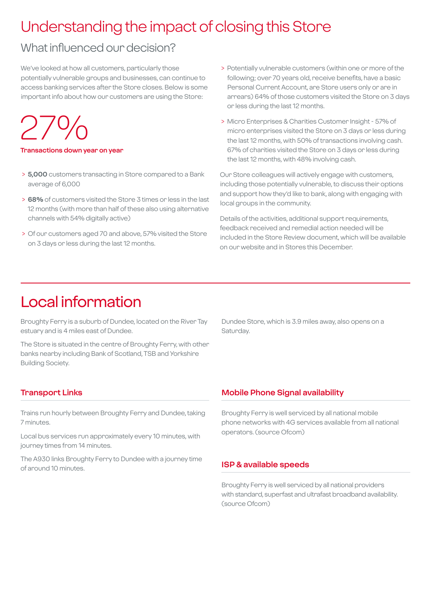# Understanding the impact of closing this Store

### What influenced our decision?

We've looked at how all customers, particularly those potentially vulnerable groups and businesses, can continue to access banking services after the Store closes. Below is some important info about how our customers are using the Store:

27%

**Transactions down year on year**

- > **5,000** customers transacting in Store compared to a Bank average of 6,000
- > **68%** of customers visited the Store 3 times or less in the last 12 months (with more than half of these also using alternative channels with 54% digitally active)
- > Of our customers aged 70 and above, 57% visited the Store on 3 days or less during the last 12 months.
- > Potentially vulnerable customers (within one or more of the following; over 70 years old, receive benefits, have a basic Personal Current Account, are Store users only or are in arrears) 64% of those customers visited the Store on 3 days or less during the last 12 months.
- > Micro Enterprises & Charities Customer Insight 57% of micro enterprises visited the Store on 3 days or less during the last 12 months, with 50% of transactions involving cash. 67% of charities visited the Store on 3 days or less during the last 12 months, with 48% involving cash.

Our Store colleagues will actively engage with customers, including those potentially vulnerable, to discuss their options and support how they'd like to bank, along with engaging with local groups in the community.

Details of the activities, additional support requirements, feedback received and remedial action needed will be included in the Store Review document, which will be available on our website and in Stores this December.

### Local information

Broughty Ferry is a suburb of Dundee, located on the River Tay estuary and is 4 miles east of Dundee.

The Store is situated in the centre of Broughty Ferry, with other banks nearby including Bank of Scotland, TSB and Yorkshire Building Society.

Dundee Store, which is 3.9 miles away, also opens on a Saturday.

### **Transport Links**

Trains run hourly between Broughty Ferry and Dundee, taking 7 minutes.

Local bus services run approximately every 10 minutes, with journey times from 14 minutes.

The A930 links Broughty Ferry to Dundee with a journey time of around 10 minutes.

### **Mobile Phone Signal availability**

Broughty Ferry is well serviced by all national mobile phone networks with 4G services available from all national operators. (source Ofcom)

### **ISP & available speeds**

Broughty Ferry is well serviced by all national providers with standard, superfast and ultrafast broadband availability. (source Ofcom)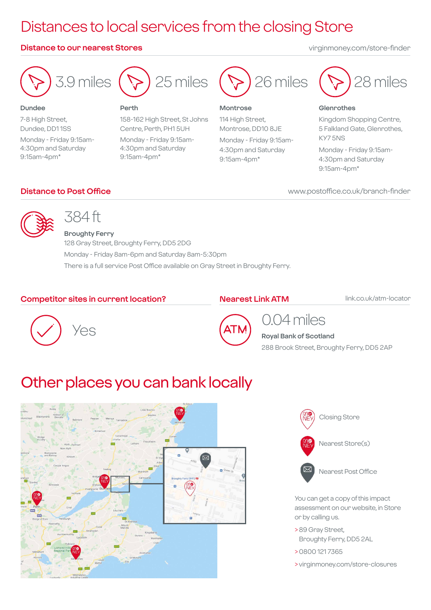# Distances to local services from the closing Store

### **Distance to our nearest Stores** virginmoney.com/store-finder



7-8 High Street, Dundee, DD1 1SS

9:15am-4pm\*

Monday - Friday 9:15am-4:30pm and Saturday

**Dundee**



#### **Perth**

158-162 High Street, St Johns Centre, Perth, PH1 5UH Monday - Friday 9:15am-4:30pm and Saturday 9:15am-4pm\*



#### **Montrose**

114 High Street, Montrose, DD10 8JE Monday - Friday 9:15am-4:30pm and Saturday 9:15am-4pm\*



#### **Glenrothes**

Kingdom Shopping Centre, 5 Falkland Gate, Glenrothes, KY7 5NS

Monday - Friday 9:15am-4:30pm and Saturday 9:15am-4pm\*

**Distance to Post Office** www.postoffice.co.uk/branch-finder

### 384 ft

**Broughty Ferry** 128 Gray Street, Broughty Ferry, DD5 2DG Monday - Friday 8am-6pm and Saturday 8am-5:30pm There is a full service Post Office available on Gray Street in Broughty Ferry.

### **Competitor sites in current location?**

### **Nearest Link ATM**

link.co.uk/atm-locator





### 0.04 miles **Royal Bank of Scotland**

288 Brook Street, Broughty Ferry, DD5 2AP

# Other places you can bank locally





You can get a copy of this impact assessment on our website, in Store or by calling us.

- > 89 Gray Street, Broughty Ferry, DD5 2AL
- > 0800 121 7365
- > virginmoney.com/store-closures